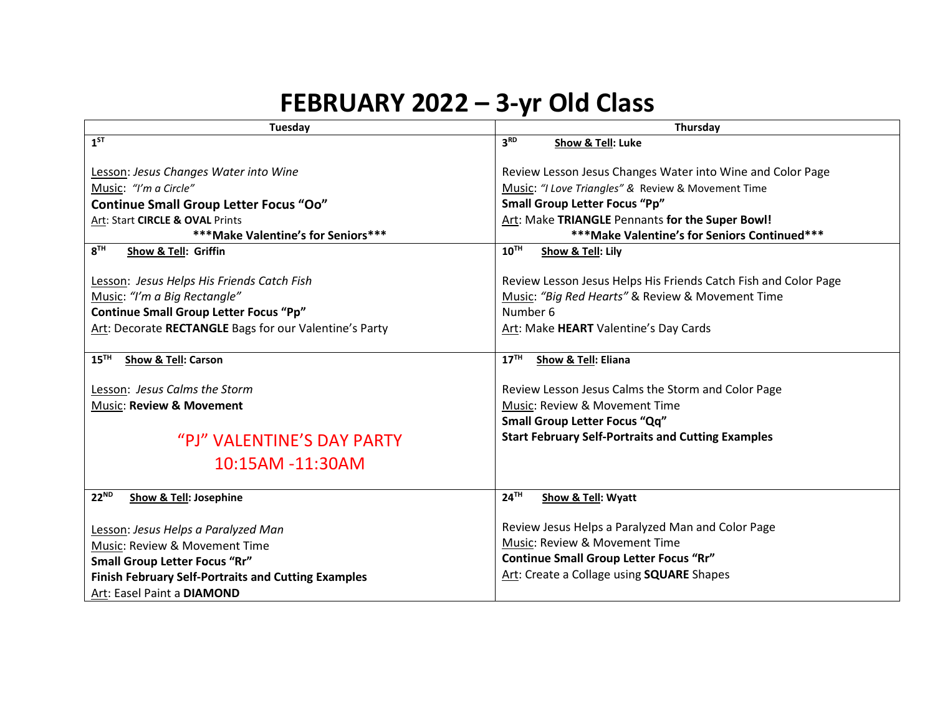## **FEBRUARY 2022 – 3-yr Old Class**

| Tuesday                                                    | Thursday                                                        |
|------------------------------------------------------------|-----------------------------------------------------------------|
| $1^{ST}$                                                   | 3 <sup>RD</sup><br>Show & Tell: Luke                            |
|                                                            |                                                                 |
| Lesson: Jesus Changes Water into Wine                      | Review Lesson Jesus Changes Water into Wine and Color Page      |
| Music: "I'm a Circle"                                      | Music: "I Love Triangles" & Review & Movement Time              |
| <b>Continue Small Group Letter Focus "Oo"</b>              | <b>Small Group Letter Focus "Pp"</b>                            |
| Art: Start CIRCLE & OVAL Prints                            | Art: Make TRIANGLE Pennants for the Super Bowl!                 |
| ***Make Valentine's for Seniors ***                        | ***Make Valentine's for Seniors Continued***                    |
| 8 <sup>TH</sup><br>Show & Tell: Griffin                    | 10 <sup>TH</sup><br>Show & Tell: Lily                           |
|                                                            |                                                                 |
| Lesson: Jesus Helps His Friends Catch Fish                 | Review Lesson Jesus Helps His Friends Catch Fish and Color Page |
| Music: "I'm a Big Rectangle"                               | Music: "Big Red Hearts" & Review & Movement Time                |
| <b>Continue Small Group Letter Focus "Pp"</b>              | Number 6                                                        |
| Art: Decorate RECTANGLE Bags for our Valentine's Party     | Art: Make HEART Valentine's Day Cards                           |
|                                                            |                                                                 |
| $15$ <sup>TH</sup><br><b>Show &amp; Tell: Carson</b>       | 17 <sup>TH</sup><br>Show & Tell: Eliana                         |
|                                                            |                                                                 |
| Lesson: Jesus Calms the Storm                              | Review Lesson Jesus Calms the Storm and Color Page              |
| Music: Review & Movement                                   | Music: Review & Movement Time                                   |
|                                                            | <b>Small Group Letter Focus "Qq"</b>                            |
| "PJ" VALENTINE'S DAY PARTY                                 | <b>Start February Self-Portraits and Cutting Examples</b>       |
| 10:15AM -11:30AM                                           |                                                                 |
|                                                            |                                                                 |
| 22 <sup>ND</sup><br><b>Show &amp; Tell: Josephine</b>      | 24 <sup>TH</sup><br>Show & Tell: Wyatt                          |
|                                                            |                                                                 |
| Lesson: Jesus Helps a Paralyzed Man                        | Review Jesus Helps a Paralyzed Man and Color Page               |
| Music: Review & Movement Time                              | Music: Review & Movement Time                                   |
| <b>Small Group Letter Focus "Rr"</b>                       | <b>Continue Small Group Letter Focus "Rr"</b>                   |
| <b>Finish February Self-Portraits and Cutting Examples</b> | Art: Create a Collage using SQUARE Shapes                       |
| Art: Easel Paint a DIAMOND                                 |                                                                 |
|                                                            |                                                                 |